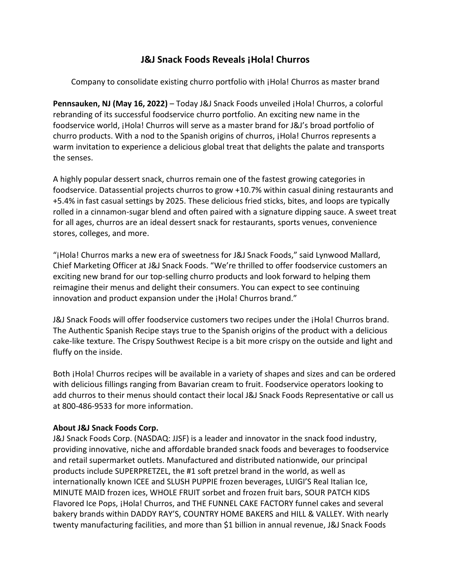## **J&J Snack Foods Reveals ¡Hola! Churros**

Company to consolidate existing churro portfolio with ¡Hola! Churros as master brand

**Pennsauken, NJ (May 16, 2022)** – Today J&J Snack Foods unveiled ¡Hola! Churros, a colorful rebranding of its successful foodservice churro portfolio. An exciting new name in the foodservice world, ¡Hola! Churros will serve as a master brand for J&J's broad portfolio of churro products. With a nod to the Spanish origins of churros, ¡Hola! Churros represents a warm invitation to experience a delicious global treat that delights the palate and transports the senses.

A highly popular dessert snack, churros remain one of the fastest growing categories in foodservice. Datassential projects churros to grow +10.7% within casual dining restaurants and +5.4% in fast casual settings by 2025. These delicious fried sticks, bites, and loops are typically rolled in a cinnamon-sugar blend and often paired with a signature dipping sauce. A sweet treat for all ages, churros are an ideal dessert snack for restaurants, sports venues, convenience stores, colleges, and more.

"¡Hola! Churros marks a new era of sweetness for J&J Snack Foods," said Lynwood Mallard, Chief Marketing Officer at J&J Snack Foods. "We're thrilled to offer foodservice customers an exciting new brand for our top-selling churro products and look forward to helping them reimagine their menus and delight their consumers. You can expect to see continuing innovation and product expansion under the ¡Hola! Churros brand."

J&J Snack Foods will offer foodservice customers two recipes under the ¡Hola! Churros brand. The Authentic Spanish Recipe stays true to the Spanish origins of the product with a delicious cake-like texture. The Crispy Southwest Recipe is a bit more crispy on the outside and light and fluffy on the inside.

Both ¡Hola! Churros recipes will be available in a variety of shapes and sizes and can be ordered with delicious fillings ranging from Bavarian cream to fruit. Foodservice operators looking to add churros to their menus should contact their local J&J Snack Foods Representative or call us at 800-486-9533 for more information.

## **About J&J Snack Foods Corp.**

J&J Snack Foods Corp. (NASDAQ: JJSF) is a leader and innovator in the snack food industry, providing innovative, niche and affordable branded snack foods and beverages to foodservice and retail supermarket outlets. Manufactured and distributed nationwide, our principal products include SUPERPRETZEL, the #1 soft pretzel brand in the world, as well as internationally known ICEE and SLUSH PUPPIE frozen beverages, LUIGI'S Real Italian Ice, MINUTE MAID frozen ices, WHOLE FRUIT sorbet and frozen fruit bars, SOUR PATCH KIDS Flavored Ice Pops, ¡Hola! Churros, and THE FUNNEL CAKE FACTORY funnel cakes and several bakery brands within DADDY RAY'S, COUNTRY HOME BAKERS and HILL & VALLEY. With nearly twenty manufacturing facilities, and more than \$1 billion in annual revenue, J&J Snack Foods